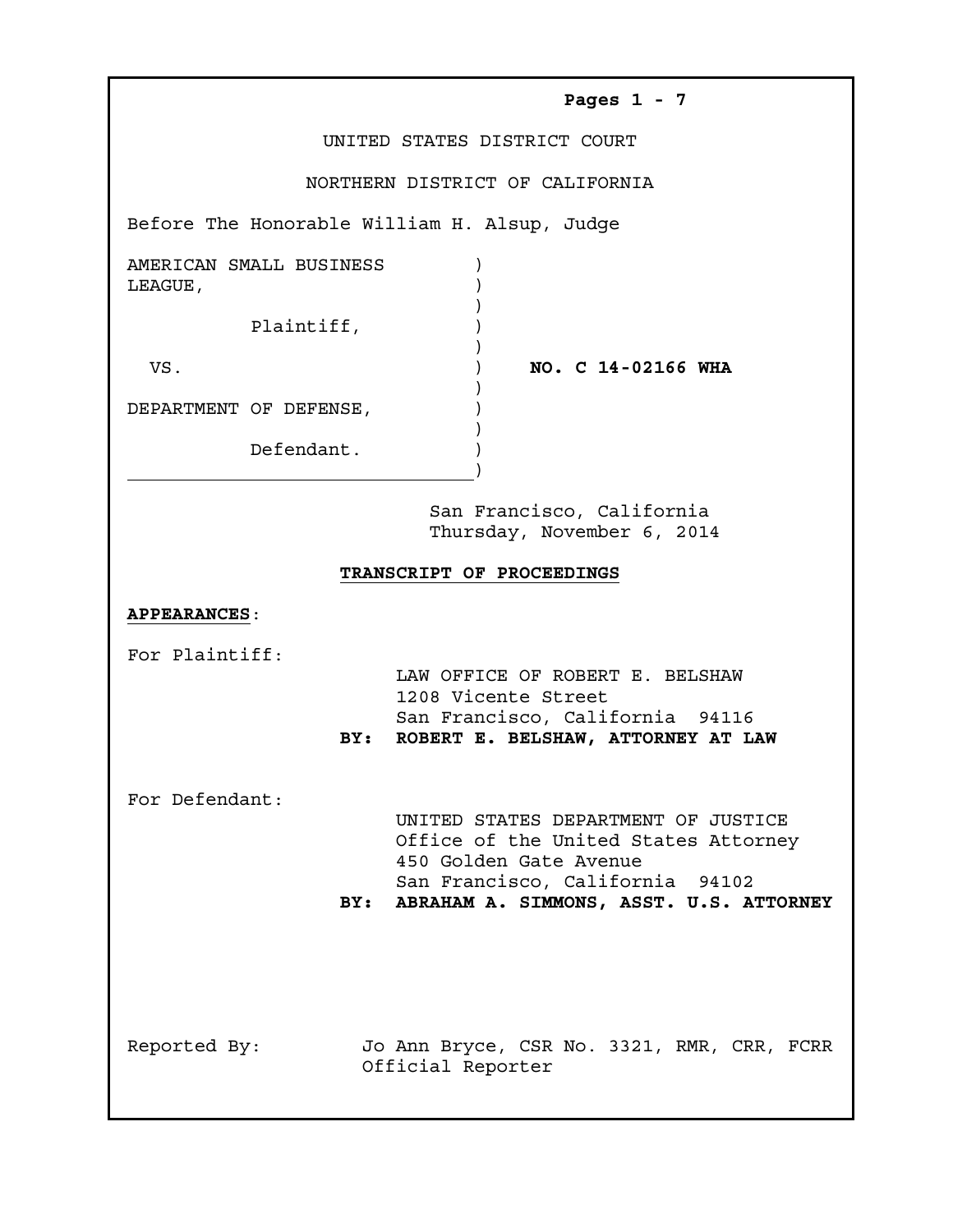| oממ<br>-<br>. . |  |  |  |
|-----------------|--|--|--|
|-----------------|--|--|--|

UNITED STATES DISTRICT COURT

NORTHERN DISTRICT OF CALIFORNIA

Before The Honorable William H. Alsup, Judge

| AMERICAN SMALL BUSINESS<br>LEAGUE, |                    |
|------------------------------------|--------------------|
| Plaintiff,                         |                    |
| VS.                                | NO. C 14-02166 WHA |
| DEPARTMENT OF DEFENSE,             |                    |

Defendant. )

 San Francisco, California Thursday, November 6, 2014

## **TRANSCRIPT OF PROCEEDINGS**

)

## **APPEARANCES**:

For Plaintiff:

 LAW OFFICE OF ROBERT E. BELSHAW 1208 Vicente Street San Francisco, California 94116 **BY: ROBERT E. BELSHAW, ATTORNEY AT LAW**

For Defendant:

 UNITED STATES DEPARTMENT OF JUSTICE Office of the United States Attorney 450 Golden Gate Avenue San Francisco, California 94102 **BY: ABRAHAM A. SIMMONS, ASST. U.S. ATTORNEY**

Reported By: Jo Ann Bryce, CSR No. 3321, RMR, CRR, FCRR Official Reporter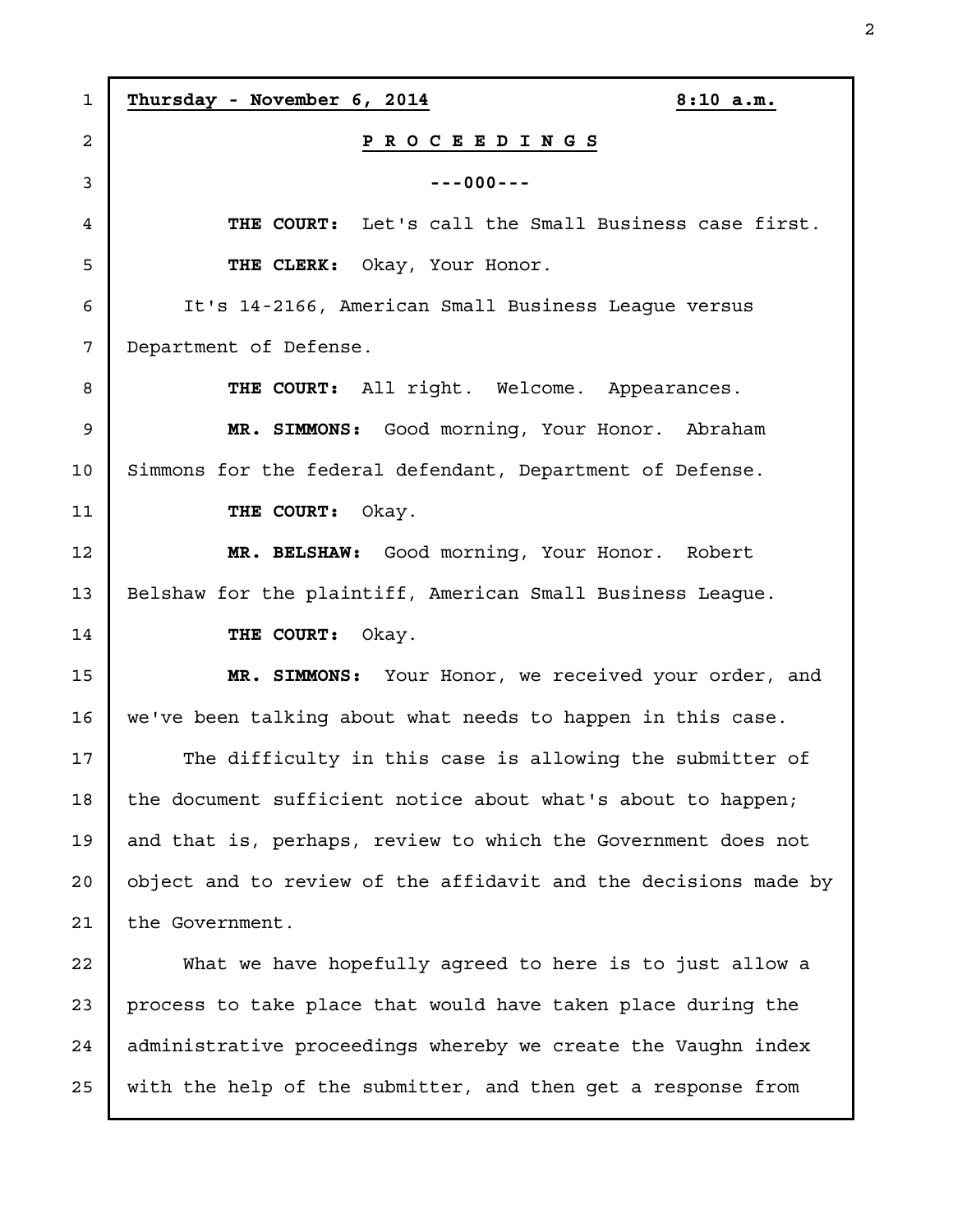**Thursday - November 6, 2014 8:10 a.m. P R O C E E D I N G S ---000--- THE COURT:** Let's call the Small Business case first. **THE CLERK:** Okay, Your Honor. It's 14-2166, American Small Business League versus Department of Defense. **THE COURT:** All right. Welcome. Appearances. **MR. SIMMONS:** Good morning, Your Honor. Abraham Simmons for the federal defendant, Department of Defense. **THE COURT:** Okay. **MR. BELSHAW:** Good morning, Your Honor. Robert Belshaw for the plaintiff, American Small Business League. **THE COURT:** Okay. **MR. SIMMONS:** Your Honor, we received your order, and we've been talking about what needs to happen in this case. The difficulty in this case is allowing the submitter of the document sufficient notice about what's about to happen; and that is, perhaps, review to which the Government does not object and to review of the affidavit and the decisions made by the Government. What we have hopefully agreed to here is to just allow a process to take place that would have taken place during the administrative proceedings whereby we create the Vaughn index with the help of the submitter, and then get a response from 1 2 3 4 5 6 7 8 9 10 11 12 13 14 15 16 17 18 19 20 21 22 23 24 25

2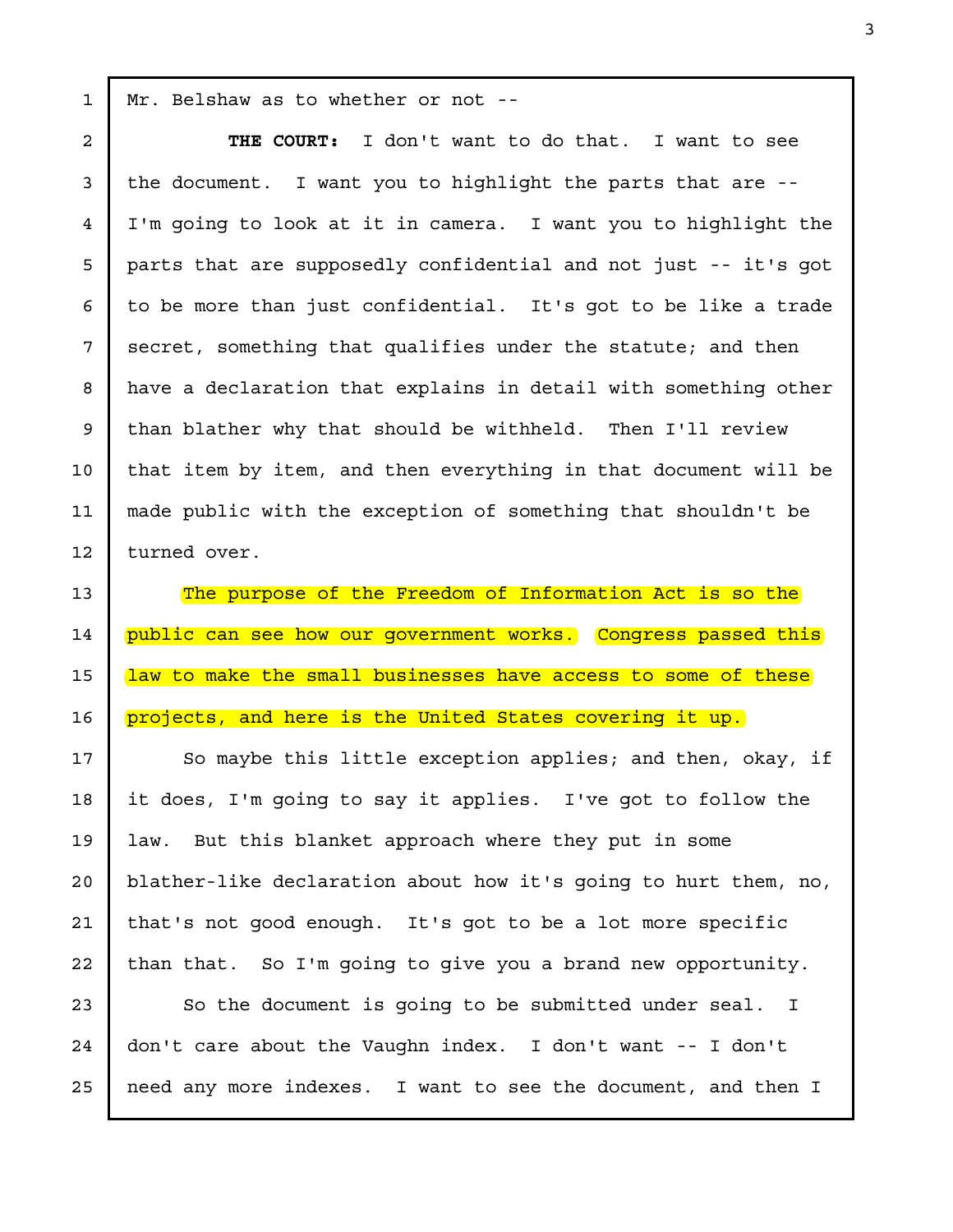Mr. Belshaw as to whether or not --

1

2

3

4

5

6

7

8

9

10

11

12

13

14

15

16

17

18

19

20

21

22

**THE COURT:** I don't want to do that. I want to see the document. I want you to highlight the parts that are -- I'm going to look at it in camera. I want you to highlight the parts that are supposedly confidential and not just -- it's got to be more than just confidential. It's got to be like a trade secret, something that qualifies under the statute; and then have a declaration that explains in detail with something other than blather why that should be withheld. Then I'll review that item by item, and then everything in that document will be made public with the exception of something that shouldn't be turned over.

The purpose of the Freedom of Information Act is so the public can see how our government works. Congress passed this law to make the small businesses have access to some of these projects, and here is the United States covering it up.

So maybe this little exception applies; and then, okay, if it does, I'm going to say it applies. I've got to follow the law. But this blanket approach where they put in some blather-like declaration about how it's going to hurt them, no, that's not good enough. It's got to be a lot more specific than that. So I'm going to give you a brand new opportunity.

So the document is going to be submitted under seal. I don't care about the Vaughn index. I don't want -- I don't need any more indexes. I want to see the document, and then I 23 24 25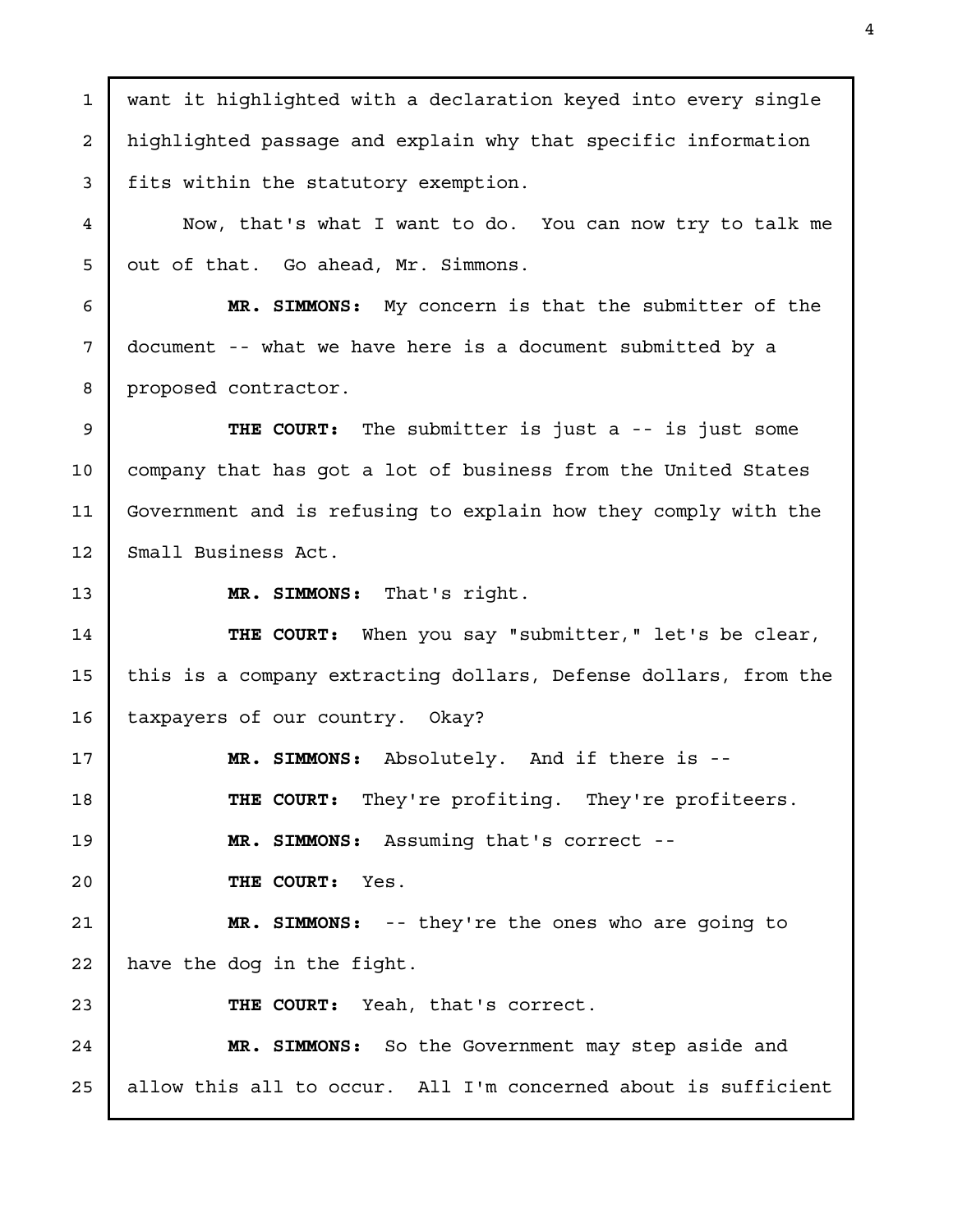want it highlighted with a declaration keyed into every single highlighted passage and explain why that specific information fits within the statutory exemption. Now, that's what I want to do. You can now try to talk me out of that. Go ahead, Mr. Simmons. **MR. SIMMONS:** My concern is that the submitter of the document -- what we have here is a document submitted by a proposed contractor. **THE COURT:** The submitter is just a -- is just some company that has got a lot of business from the United States Government and is refusing to explain how they comply with the Small Business Act. **MR. SIMMONS:** That's right. **THE COURT:** When you say "submitter," let's be clear, this is a company extracting dollars, Defense dollars, from the taxpayers of our country. Okay? **MR. SIMMONS:** Absolutely. And if there is -- **THE COURT:** They're profiting. They're profiteers. **MR. SIMMONS:** Assuming that's correct -- **THE COURT:** Yes. **MR. SIMMONS:** -- they're the ones who are going to have the dog in the fight. **THE COURT:** Yeah, that's correct. **MR. SIMMONS:** So the Government may step aside and allow this all to occur. All I'm concerned about is sufficient 1 2 3 4 5 6 7 8 9 10 11 12 13 14 15 16 17 18 19 20 21 22 23 24 25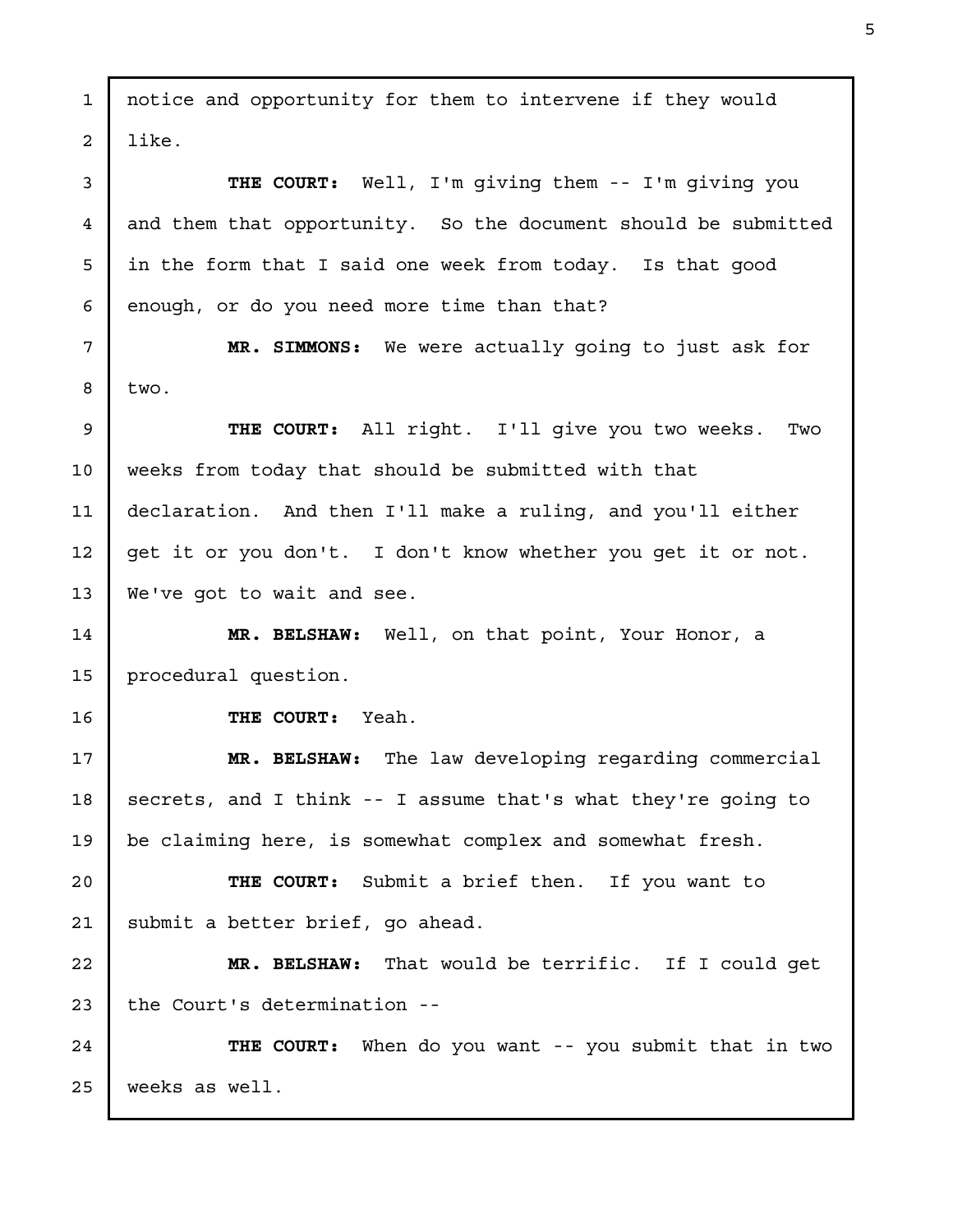notice and opportunity for them to intervene if they would like. **THE COURT:** Well, I'm giving them -- I'm giving you and them that opportunity. So the document should be submitted in the form that I said one week from today. Is that good enough, or do you need more time than that? **MR. SIMMONS:** We were actually going to just ask for two. **THE COURT:** All right. I'll give you two weeks. Two weeks from today that should be submitted with that declaration. And then I'll make a ruling, and you'll either get it or you don't. I don't know whether you get it or not. We've got to wait and see. **MR. BELSHAW:** Well, on that point, Your Honor, a procedural question. **THE COURT:** Yeah. **MR. BELSHAW:** The law developing regarding commercial secrets, and I think -- I assume that's what they're going to be claiming here, is somewhat complex and somewhat fresh. **THE COURT:** Submit a brief then. If you want to submit a better brief, go ahead. **MR. BELSHAW:** That would be terrific. If I could get the Court's determination -- **THE COURT:** When do you want -- you submit that in two weeks as well. 1 2 3 4 5 6 7 8 9 10 11 12 13 14 15 16 17 18 19 20 21 22 23 24 25

5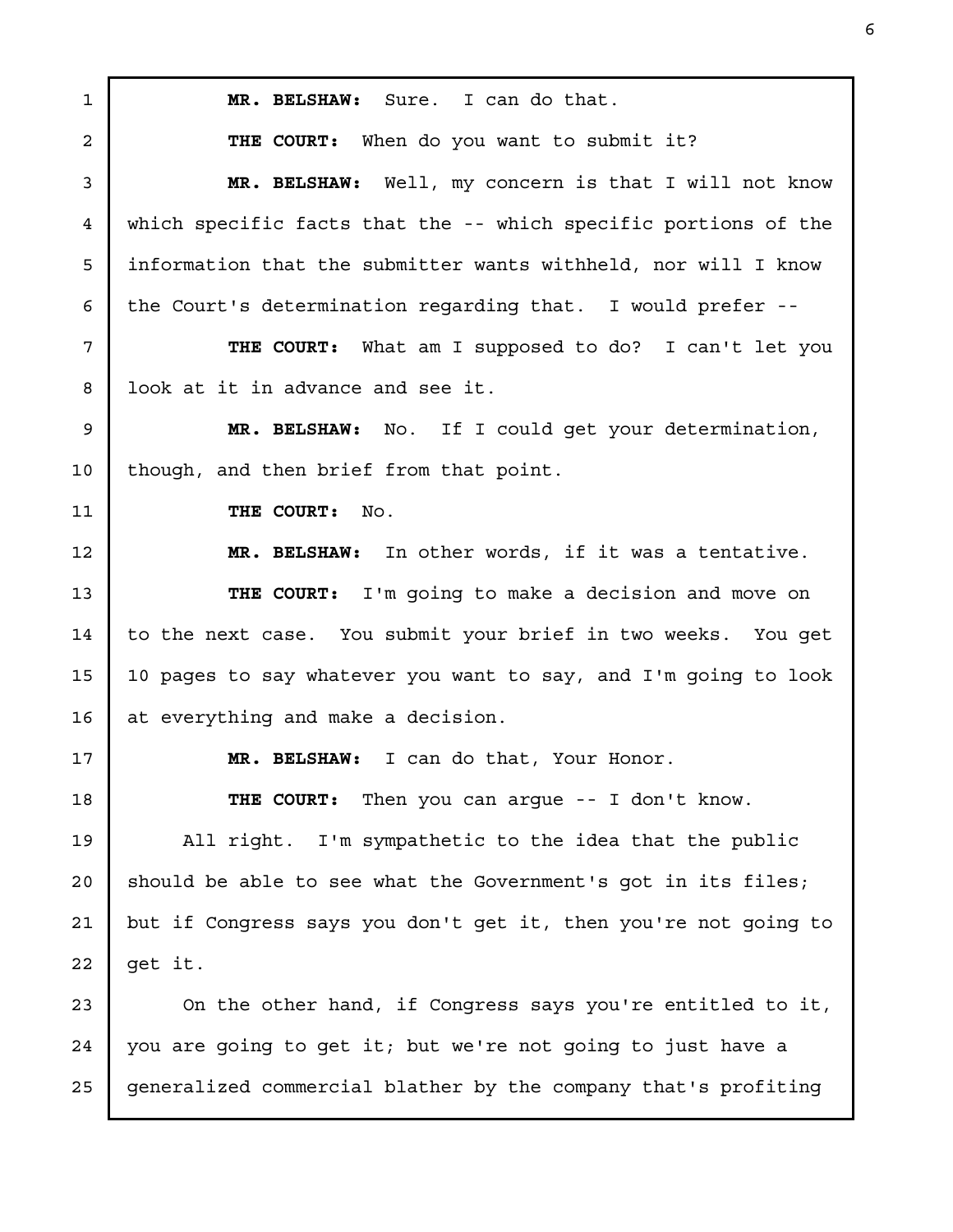**MR. BELSHAW:** Sure. I can do that. **THE COURT:** When do you want to submit it? **MR. BELSHAW:** Well, my concern is that I will not know which specific facts that the -- which specific portions of the information that the submitter wants withheld, nor will I know the Court's determination regarding that. I would prefer -- **THE COURT:** What am I supposed to do? I can't let you look at it in advance and see it. **MR. BELSHAW:** No. If I could get your determination, though, and then brief from that point. **THE COURT:** No. **MR. BELSHAW:** In other words, if it was a tentative. **THE COURT:** I'm going to make a decision and move on to the next case. You submit your brief in two weeks. You get 10 pages to say whatever you want to say, and I'm going to look at everything and make a decision. **MR. BELSHAW:** I can do that, Your Honor. **THE COURT:** Then you can argue -- I don't know. All right. I'm sympathetic to the idea that the public should be able to see what the Government's got in its files; but if Congress says you don't get it, then you're not going to get it. On the other hand, if Congress says you're entitled to it, you are going to get it; but we're not going to just have a generalized commercial blather by the company that's profiting 1 2 3 4 5 6 7 8 9 10 11 12 13 14 15 16 17 18 19 20 21 22 23 24 25

6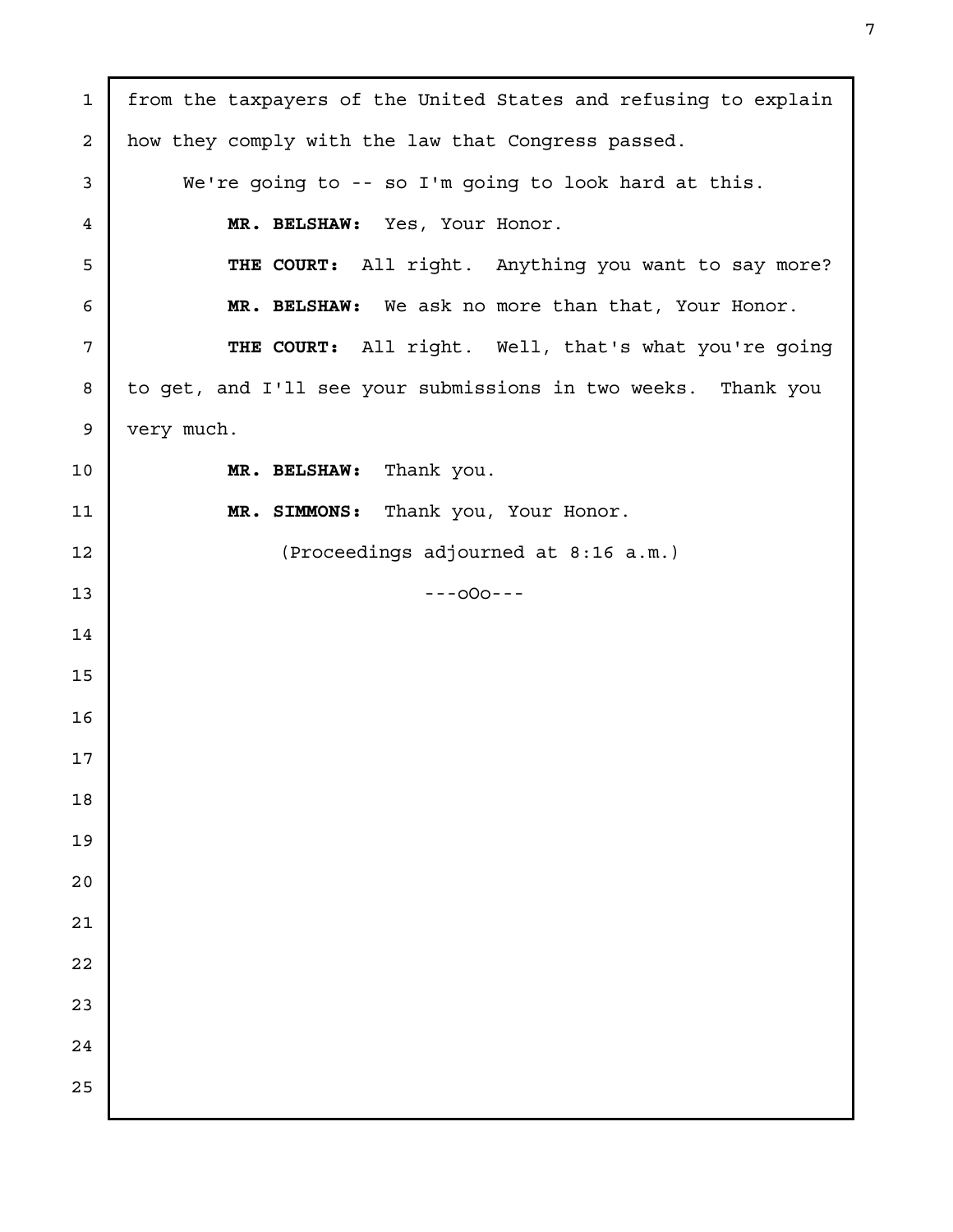| $\mathbf{1}$            | from the taxpayers of the United States and refusing to explain |
|-------------------------|-----------------------------------------------------------------|
| $\overline{\mathbf{c}}$ | how they comply with the law that Congress passed.              |
| 3                       | We're going to -- so I'm going to look hard at this.            |
| 4                       | MR. BELSHAW: Yes, Your Honor.                                   |
| 5                       | THE COURT: All right. Anything you want to say more?            |
| 6                       | MR. BELSHAW: We ask no more than that, Your Honor.              |
| 7                       | THE COURT: All right. Well, that's what you're going            |
| 8                       | to get, and I'll see your submissions in two weeks. Thank you   |
| 9                       | very much.                                                      |
| 10                      | Thank you.<br>MR. BELSHAW:                                      |
| 11                      | MR. SIMMONS: Thank you, Your Honor.                             |
| 12                      | (Proceedings adjourned at 8:16 a.m.)                            |
| 13                      | $---000---$                                                     |
| 14                      |                                                                 |
| 15                      |                                                                 |
| 16                      |                                                                 |
| 17                      |                                                                 |
| 18                      |                                                                 |
| 19                      |                                                                 |
| 20                      |                                                                 |
| 21                      |                                                                 |
| 22                      |                                                                 |
| 23                      |                                                                 |
| 24                      |                                                                 |
| 25                      |                                                                 |